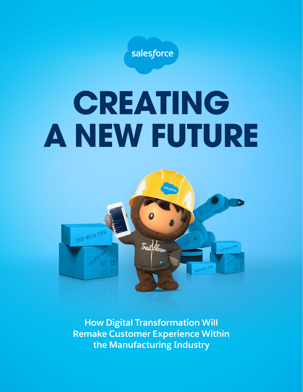

# **CREATING A NEW FUTURE**



**How Digital Transformation Will Remake Customer Experience Within the Manufacturing Industry**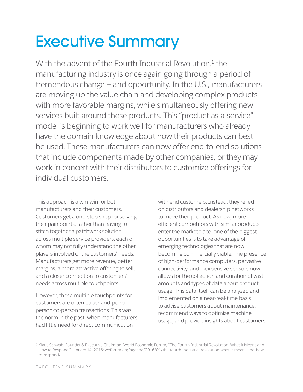## Executive Summary

With the advent of the Fourth Industrial Revolution, $1$  the manufacturing industry is once again going through a period of tremendous change — and opportunity. In the U.S., manufacturers are moving up the value chain and developing complex products with more favorable margins, while simultaneously offering new services built around these products. This "product-as-a-service" model is beginning to work well for manufacturers who already have the domain knowledge about how their products can best be used. These manufacturers can now offer end-to-end solutions that include components made by other companies, or they may work in concert with their distributors to customize offerings for individual customers.

This approach is a win-win for both manufacturers and their customers. Customers get a one-stop shop for solving their pain points, rather than having to stitch together a patchwork solution across multiple service providers, each of whom may not fully understand the other players involved or the customers' needs. Manufacturers get more revenue, better margins, a more attractive offering to sell, and a closer connection to customers' needs across multiple touchpoints.

However, these multiple touchpoints for customers are often paper-and-pencil, person-to-person transactions. This was the norm in the past, when manufacturers had little need for direct communication

with end customers. Instead, they relied on distributors and dealership networks to move their product. As new, more efficient competitors with similar products enter the marketplace, one of the biggest opportunities is to take advantage of emerging technologies that are now becoming commercially viable. The presence of high-performance computers, pervasive connectivity, and inexpensive sensors now allows for the collection and curation of vast amounts and types of data about product usage. This data itself can be analyzed and implemented on a near-real-time basis to advise customers about maintenance, recommend ways to optimize machine usage, and provide insights about customers.

<sup>1</sup> Klaus Schwab, Founder & Executive Chairman, World Economic Forum, "The Fourth Industrial Revolution: What it Means and How to Respond," January 14, 2016: [weforum.org/agenda/2016/01/the-fourth-industrial-revolution-what-it-means-and-how](https://www.weforum.org/agenda/2016/01/the-fourth-industrial-revolution-what-it-means-and-how-to-respond)[to-respond/.](https://www.weforum.org/agenda/2016/01/the-fourth-industrial-revolution-what-it-means-and-how-to-respond)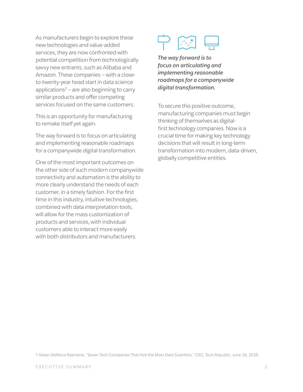As manufacturers begin to explore these new technologies and value-added services, they are now confronted with potential competition from technologically savvy new entrants, such as Alibaba and Amazon. These companies — with a closeto-twenty-year head start in data science applications<sup>2</sup> – are also beginning to carry similar products and offer competing services focused on the same customers.

This is an opportunity for manufacturing to remake itself yet again.

The way forward is to focus on articulating and implementing reasonable roadmaps for a companywide digital transformation.

One of the most important outcomes on the other side of such modern companywide connectivity and automation is the ability to more clearly understand the needs of each customer, in a timely fashion. For the first time in this industry, intuitive technologies, combined with data interpretation tools, will allow for the mass customization of products and services, with individual customers able to interact more easily with both distributors and manufacturers.



*The way forward is to focus on articulating and implementing reasonable roadmaps for a companywide digital transformation.*

To secure this positive outcome, manufacturing companies must begin thinking of themselves as digitalfirst technology companies. Now is a crucial time for making key technology decisions that will result in long-term transformation into modern, data-driven, globally competitive entities.

² Alison DeNisco Raymone, "Seven Tech Companies That Hire the Most Data Scientists," CXO, Tech Republic, June 18, 2019.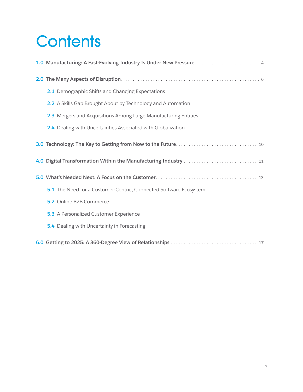# **Contents**

| 1.0 Manufacturing: A Fast-Evolving Industry Is Under New Pressure  4 |  |
|----------------------------------------------------------------------|--|
|                                                                      |  |
| 2.1 Demographic Shifts and Changing Expectations                     |  |
| 2.2 A Skills Gap Brought About by Technology and Automation          |  |
| 2.3 Mergers and Acquisitions Among Large Manufacturing Entities      |  |
| 2.4 Dealing with Uncertainties Associated with Globalization         |  |
|                                                                      |  |
| 4.0 Digital Transformation Within the Manufacturing Industry  11     |  |
|                                                                      |  |
| 5.1 The Need for a Customer-Centric, Connected Software Ecosystem    |  |
| 5.2 Online B2B Commerce                                              |  |
| 5.3 A Personalized Customer Experience                               |  |
| 5.4 Dealing with Uncertainty in Forecasting                          |  |
|                                                                      |  |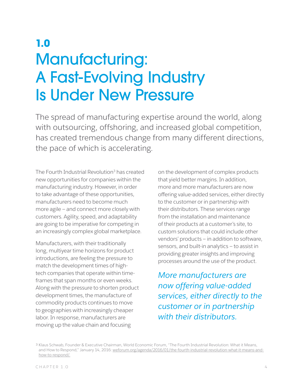### **1.0** Manufacturing: A Fast-Evolving Industry Is Under New Pressure

The spread of manufacturing expertise around the world, along with outsourcing, offshoring, and increased global competition, has created tremendous change from many different directions, the pace of which is accelerating.

The Fourth Industrial Revolution<sup>3</sup> has created new opportunities for companies within the manufacturing industry. However, in order to take advantage of these opportunities, manufacturers need to become much more agile — and connect more closely with customers. Agility, speed, and adaptability are going to be imperative for competing in an increasingly complex global marketplace.

Manufacturers, with their traditionally long, multiyear time horizons for product introductions, are feeling the pressure to match the development times of hightech companies that operate within timeframes that span months or even weeks. Along with the pressure to shorten product development times, the manufacture of commodity products continues to move to geographies with increasingly cheaper labor. In response, manufacturers are moving up the value chain and focusing

on the development of complex products that yield better margins. In addition, more and more manufacturers are now offering value-added services, either directly to the customer or in partnership with their distributors. These services range from the installation and maintenance of their products at a customer's site, to custom solutions that could include other vendors' products — in addition to software, sensors, and built-in analytics — to assist in providing greater insights and improving processes around the use of the product.

*More manufacturers are now offering value-added services, either directly to the customer or in partnership with their distributors.*

<sup>3</sup> Klaus Schwab, Founder & Executive Chairman, World Economic Forum, "The Fourth Industrial Revolution: What it Means, and How to Respond," January 14, 2016: [weforum.org/agenda/2016/01/the-fourth-industrial-revolution-what-it-means-and](https://www.weforum.org/agenda/2016/01/the-fourth-industrial-revolution-what-it-means-and-how-to-respond/)[how-to-respond/](https://www.weforum.org/agenda/2016/01/the-fourth-industrial-revolution-what-it-means-and-how-to-respond/).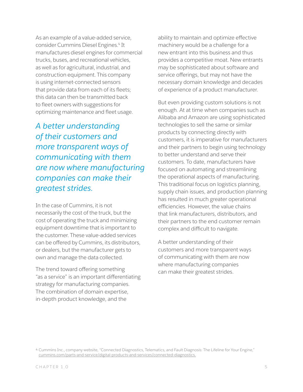As an example of a value-added service, consider Cummins Diesel Engines.<sup>4</sup> It manufactures diesel engines for commercial trucks, buses, and recreational vehicles, as well as for agricultural, industrial, and construction equipment. This company is using internet-connected sensors that provide data from each of its fleets; this data can then be transmitted back to fleet owners with suggestions for optimizing maintenance and fleet usage.

*A better understanding of their customers and more transparent ways of communicating with them are now where manufacturing companies can make their greatest strides.* 

In the case of Cummins, it is not necessarily the cost of the truck, but the cost of operating the truck and minimizing equipment downtime that is important to the customer. These value-added services can be offered by Cummins, its distributors, or dealers, but the manufacturer gets to own and manage the data collected.

The trend toward offering something "as a service" is an important differentiating strategy for manufacturing companies. The combination of domain expertise, in-depth product knowledge, and the

ability to maintain and optimize effective machinery would be a challenge for a new entrant into this business and thus provides a competitive moat. New entrants may be sophisticated about software and service offerings, but may not have the necessary domain knowledge and decades of experience of a product manufacturer.

But even providing custom solutions is not enough. At at time when companies such as Alibaba and Amazon are using sophisticated technologies to sell the same or similar products by connecting directly with customers, it is imperative for manufacturers and their partners to begin using technology to better understand and serve their customers. To date, manufacturers have focused on automating and streamlining the operational aspects of manufacturing. This traditional focus on logistics planning, supply chain issues, and production planning has resulted in much greater operational efficiencies. However, the value chains that link manufacturers, distributors, and their partners to the end customer remain complex and difficult to navigate.

A better understanding of their customers and more transparent ways of communicating with them are now where manufacturing companies can make their greatest strides.

<sup>4</sup> Cummins Inc., company website, "Connected Diagnostics, Telematics, and Fault Diagnosis: The Lifeline for Your Engine," [cummins.com/parts-and-service/digital-products-and-services/connected-diagnostics.](https://www.cummins.com/parts-and-service/digital-products-and-services/connected-diagnostics)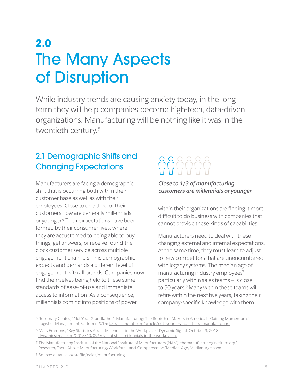### **2.0** The Many Aspects of Disruption

While industry trends are causing anxiety today, in the long term they will help companies become high-tech, data-driven organizations. Manufacturing will be nothing like it was in the twentieth century.5

#### 2.1 Demographic Shifts and Changing Expectations

Manufacturers are facing a demographic shift that is occurring both within their customer base as well as with their employees. Close to one-third of their customers now are generally millennials or younger.<sup>6</sup> Their expectations have been formed by their consumer lives, where they are accustomed to being able to buy things, get answers, or receive round-theclock customer service across multiple engagement channels. This demographic expects and demands a different level of engagement with all brands. Companies now find themselves being held to these same standards of ease-of-use and immediate access to information. As a consequence, millennials coming into positions of power



#### *Close to 1/3 of manufacturing customers are millennials or younger.*

within their organizations are finding it more difficult to do business with companies that cannot provide these kinds of capabilities.

Manufacturers need to deal with these changing external and internal expectations. At the same time, they must learn to adjust to new competitors that are unencumbered with legacy systems. The median age of manufacturing industry employees $7$ particularly within sales teams — is close to 50 years.<sup>8</sup> Many within these teams will retire within the next five years, taking their company-specific knowledge with them.

⁵ Rosemary Coates, "Not Your Grandfather's Manufacturing: The Rebirth of Makers in America Is Gaining Momentum," Logistics Management, October 2015: [logisticsmgmt.com/article/not\\_your\\_grandfathers\\_manufacturing](https://www.logisticsmgmt.com/article/not_your_grandfathers_manufacturing).

⁶ Mark Emmons, "Key Statistics About Millennials in the Workplace," Dynamic Signal, October 9, 2018: [dynamicsignal.com/2018/10/09/key-statistics-millennials-in-the-workplace/](https://dynamicsignal.com/2018/10/09/key-statistics-millennials-in-the-workplace/).

<sup>7</sup> The Manufacturing Institute of the National Institute of Manufacturers (NAM): [themanufacturinginstitute.org/](http://www.themanufacturinginstitute.org/Research/Facts-About-Manufacturing/Workforce-and-Compensation/Median-Age/Median-Age.aspx)   [Research/Facts-About-Manufacturing/Workforce-and-Compensation/Median-Age/Median-Age.aspx.](http://www.themanufacturinginstitute.org/Research/Facts-About-Manufacturing/Workforce-and-Compensation/Median-Age/Median-Age.aspx)

<sup>8</sup> Source: [datausa.io/profile/naics/manufacturing.](https://datausa.io/profile/naics/manufacturing)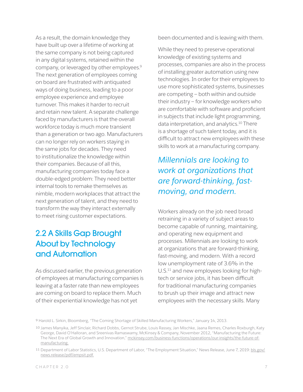As a result, the domain knowledge they have built up over a lifetime of working at the same company is not being captured in any digital systems, retained within the company, or leveraged by other employees.9 The next generation of employees coming on board are frustrated with antiquated ways of doing business, leading to a poor employee experience and employee turnover. This makes it harder to recruit and retain new talent. A separate challenge faced by manufacturers is that the overall workforce today is much more transient than a generation or two ago. Manufacturers can no longer rely on workers staying in the same jobs for decades. They need to institutionalize the knowledge within their companies. Because of all this, manufacturing companies today face a double-edged problem: They need better internal tools to remake themselves as nimble, modern workplaces that attract the next generation of talent, and they need to transform the way they interact externally to meet rising customer expectations.

#### 2.2 A Skills Gap Brought About by Technology and Automation

As discussed earlier, the previous generation of employees at manufacturing companies is leaving at a faster rate than new employees are coming on board to replace them. Much of their experiential knowledge has not yet

been documented and is leaving with them.

While they need to preserve operational knowledge of existing systems and processes, companies are also in the process of installing greater automation using new technologies. In order for their employees to use more sophisticated systems, businesses are competing — both within and outside their industry — for knowledge workers who are comfortable with software and proficient in subjects that include light programming, data interpretation, and analytics.<sup>10</sup> There is a shortage of such talent today, and it is difficult to attract new employees with these skills to work at a manufacturing company.

### *Millennials are looking to work at organizations that are forward-thinking, fastmoving, and modern.*

Workers already on the job need broad retraining in a variety of subject areas to become capable of running, maintaining, and operating new equipment and processes. Millennials are looking to work at organizations that are forward-thinking, fast-moving, and modern. With a record low unemployment rate of 3.6% in the U.S.<sup>11</sup> and new employees looking for hightech or service jobs, it has been difficult for traditional manufacturing companies to brush up their image and attract new employees with the necessary skills. Many

<sup>9</sup> Harold L. Sirkin, Bloomberg, "The Coming Shortage of Skilled Manufacturing Workers," January 14, 2013.

<sup>10</sup> James Manyika, Jeff Sinclair, Richard Dobbs, Gernot Strube, Louis Rassey, Jan Mischke, Jaana Remes, Charles Roxburgh, Katy George, David O'Halloran, and Sreenivas Ramaswamy, McKinsey & Company, November 2012, "Manufacturing the Future: The Next Era of Global Growth and Innovation," [mckinsey.com/business-functions/operations/our-insights/the-future-of](https://www.mckinsey.com/business-functions/operations/our-insights/the-future-of-manufacturing)[manufacturing.](https://www.mckinsey.com/business-functions/operations/our-insights/the-future-of-manufacturing)

<sup>11</sup> Department of Labor Statistics, U.S. Department of Labor, "The Employment Situation," News Release, June 7, 2019: [bls.gov/](https://www.bls.gov/news.release/pdf/empsit.pdf) [news.release/pdf/empsit.pdf.](https://www.bls.gov/news.release/pdf/empsit.pdf)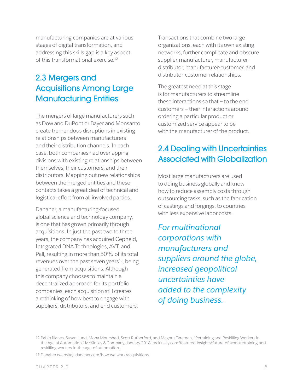manufacturing companies are at various stages of digital transformation, and addressing this skills gap is a key aspect of this transformational exercise.<sup>12</sup>

### 2.3 Mergers and Acquisitions Among Large Manufacturing Entities

The mergers of large manufacturers such as Dow and DuPont or Bayer and Monsanto create tremendous disruptions in existing relationships between manufacturers and their distribution channels. In each case, both companies had overlapping divisions with existing relationships between themselves, their customers, and their distributors. Mapping out new relationships between the merged entities and these contacts takes a great deal of technical and logistical effort from all involved parties.

Danaher, a manufacturing-focused global science and technology company, is one that has grown primarily through acquisitions. In just the past two to three years, the company has acquired Cepheid, Integrated DNA Technologies, AVT, and Pall, resulting in more than 50% of its total revenues over the past seven years $13$ , being generated from acquisitions. Although this company chooses to maintain a decentralized approach for its portfolio companies, each acquisition still creates a rethinking of how best to engage with suppliers, distributors, and end customers.

Transactions that combine two large organizations, each with its own existing networks, further complicate and obscure supplier-manufacturer, manufacturerdistributor, manufacturer-customer, and distributor-customer relationships.

The greatest need at this stage is for manufacturers to streamline these interactions so that — to the end customers — their interactions around ordering a particular product or customized service appear to be with the manufacturer of the product.

#### 2.4 Dealing with Uncertainties Associated with Globalization

Most large manufacturers are used to doing business globally and know how to reduce assembly costs through outsourcing tasks, such as the fabrication of castings and forgings, to countries with less expensive labor costs.

*For multinational corporations with manufacturers and suppliers around the globe, increased geopolitical uncertainties have added to the complexity of doing business.*

<sup>12</sup> Pablo Illanes, Susan Lund, Mona Mourshed, Scott Rutherford, and Magnus Tyreman, "Retraining and Reskilling Workers in the Age of Automation," McKinsey & Company, January 2018: [mckinsey.com/featured-insights/future-of-work/retraining-and](https://www.mckinsey.com/featured-insights/future-of-work/retraining-and-reskilling-workers-in-the-age-of-automation)[reskilling-workers-in-the-age-of-automation](https://www.mckinsey.com/featured-insights/future-of-work/retraining-and-reskilling-workers-in-the-age-of-automation).

<sup>13</sup> Danaher (website): [danaher.com/how-we-work/acquisitions.](https://www.danaher.com/how-we-work/acquisitions)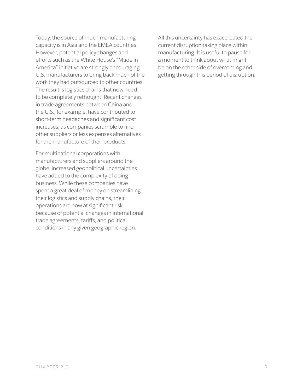Today, the source of much manufacturing capacity is in Asia and the EMEA countries. However, potential policy changes and efforts such as the White House's "Made in America" initiative are strongly encouraging U.S. manufacturers to bring back much of the work they had outsourced to other countries. The result is logistics chains that now need to be completely rethought. Recent changes in trade agreements between China and the U.S., for example, have contributed to short-term headaches and significant cost increases, as companies scramble to find other suppliers or less expenses alternatives for the manufacture of their products.

For multinational corporations with manufacturers and suppliers around the globe, increased geopolitical uncertainties have added to the complexity of doing business. While these companies have spent a great deal of money on streamlining their logistics and supply chains, their operations are now at significant risk because of potential changes in international trade agreements, tariffs, and political conditions in any given geographic region.

All this uncertainty has exacerbated the current disruption taking place within manufacturing. It is useful to pause for a moment to think about what might be on the other side of overcoming and getting through this period of disruption.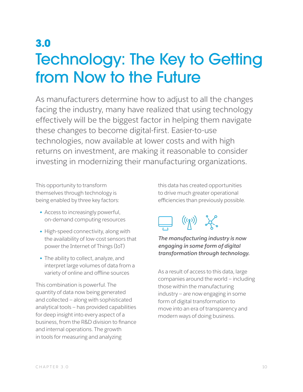### **3.0** Technology: The Key to Getting from Now to the Future

As manufacturers determine how to adjust to all the changes facing the industry, many have realized that using technology effectively will be the biggest factor in helping them navigate these changes to become digital-first. Easier-to-use technologies, now available at lower costs and with high returns on investment, are making it reasonable to consider investing in modernizing their manufacturing organizations.

This opportunity to transform themselves through technology is being enabled by three key factors:

- Access to increasingly powerful, on-demand computing resources
- High-speed connectivity, along with the availability of low-cost sensors that power the Internet of Things (IoT)
- The ability to collect, analyze, and interpret large volumes of data from a variety of online and offline sources

This combination is powerful. The quantity of data now being generated and collected — along with sophisticated analytical tools — has provided capabilities for deep insight into every aspect of a business, from the R&D division to finance and internal operations. The growth in tools for measuring and analyzing

this data has created opportunities to drive much greater operational efficiencies than previously possible.



#### *The manufacturing industry is now engaging in some form of digital transformation through technology.*

As a result of access to this data, large companies around the world — including those within the manufacturing industry — are now engaging in some form of digital transformation to move into an era of transparency and modern ways of doing business.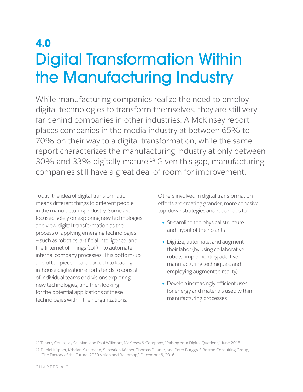### **4.0** Digital Transformation Within the Manufacturing Industry

While manufacturing companies realize the need to employ digital technologies to transform themselves, they are still very far behind companies in other industries. A McKinsey report places companies in the media industry at between 65% to 70% on their way to a digital transformation, while the same report characterizes the manufacturing industry at only between 30% and 33% digitally mature.<sup>14</sup> Given this gap, manufacturing companies still have a great deal of room for improvement.

Today, the idea of digital transformation means different things to different people in the manufacturing industry. Some are focused solely on exploring new technologies and view digital transformation as the process of applying emerging technologies — such as robotics, artificial intelligence, and the Internet of Things (IoT) — to automate internal company processes. This bottom-up and often piecemeal approach to leading in-house digitization efforts tends to consist of individual teams or divisions exploring new technologies, and then looking for the potential applications of these technologies within their organizations.

Others involved in digital transformation efforts are creating grander, more cohesive top-down strategies and roadmaps to:

- Streamline the physical structure and layout of their plants
- Digitize, automate, and augment their labor (by using collaborative robots, implementing additive manufacturing techniques, and employing augmented reality)
- Develop increasingly efficient uses for energy and materials used within manufacturing processes $15$

<sup>14</sup> Tanguy Catlin, Jay Scanlan, and Paul Willmott, McKinsey & Company, "Raising Your Digital Quotient," June 2015.

<sup>15</sup> Daniel Küpper, Kristian Kuhlmann, Sebastian Köcher, Thomas Dauner, and Peter Burggräf, Boston Consulting Group, "The Factory of the Future: 2030 Vision and Roadmap," December 6, 2016.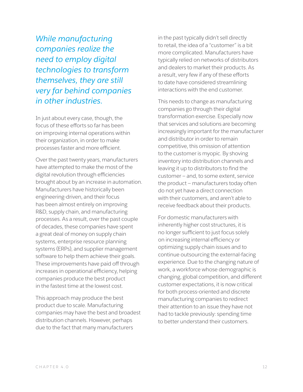*While manufacturing companies realize the need to employ digital technologies to transform themselves, they are still very far behind companies in other industries.*

In just about every case, though, the focus of these efforts so far has been on improving internal operations within their organization, in order to make processes faster and more efficient.

Over the past twenty years, manufacturers have attempted to make the most of the digital revolution through efficiencies brought about by an increase in automation. Manufacturers have historically been engineering-driven, and their focus has been almost entirely on improving R&D, supply chain, and manufacturing processes. As a result, over the past couple of decades, these companies have spent a great deal of money on supply chain systems, enterprise resource planning systems (ERPs), and supplier management software to help them achieve their goals. These improvements have paid off through increases in operational efficiency, helping companies produce the best product in the fastest time at the lowest cost.

This approach may produce the best product due to scale. Manufacturing companies may have the best and broadest distribution channels. However, perhaps due to the fact that many manufacturers

in the past typically didn't sell directly to retail, the idea of a "customer" is a bit more complicated. Manufacturers have typically relied on networks of distributors and dealers to market their products. As a result, very few if any of these efforts to date have considered streamlining interactions with the end customer.

This needs to change as manufacturing companies go through their digital transformation exercise. Especially now that services and solutions are becoming increasingly important for the manufacturer and distributor in order to remain competitive, this omission of attention to the customer is myopic. By shoving inventory into distribution channels and leaving it up to distributors to find the customer — and, to some extent, service the product — manufacturers today often do not yet have a direct connection with their customers, and aren't able to receive feedback about their products.

For domestic manufacturers with inherently higher cost structures, it is no longer sufficient to just focus solely on increasing internal efficiency or optimizing supply chain issues and to continue outsourcing the external-facing experience. Due to the changing nature of work, a workforce whose demographic is changing, global competition, and different customer expectations, it is now critical for both process-oriented and discrete manufacturing companies to redirect their attention to an issue they have not had to tackle previously: spending time to better understand their customers.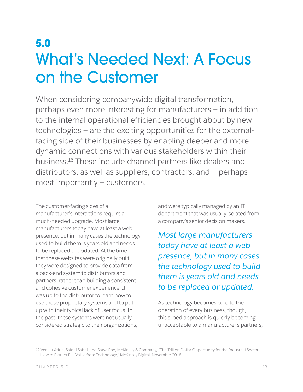### **5.0** What's Needed Next: A Focus on the Customer

When considering companywide digital transformation, perhaps even more interesting for manufacturers — in addition to the internal operational efficiencies brought about by new technologies — are the exciting opportunities for the externalfacing side of their businesses by enabling deeper and more dynamic connections with various stakeholders within their business.16 These include channel partners like dealers and distributors, as well as suppliers, contractors, and — perhaps most importantly — customers.

The customer-facing sides of a manufacturer's interactions require a much-needed upgrade. Most large manufacturers today have at least a web presence, but in many cases the technology used to build them is years old and needs to be replaced or updated. At the time that these websites were originally built, they were designed to provide data from a back-end system to distributors and partners, rather than building a consistent and cohesive customer experience. It was up to the distributor to learn how to use these proprietary systems and to put up with their typical lack of user focus. In the past, these systems were not usually considered strategic to their organizations,

and were typically managed by an IT department that was usually isolated from a company's senior decision makers.

*Most large manufacturers today have at least a web presence, but in many cases the technology used to build them is years old and needs to be replaced or updated.*

As technology becomes core to the operation of every business, though, this siloed approach is quickly becoming unacceptable to a manufacturer's partners,

16 Venkat Atluri, Saloni Sahni, and Satya Rao, McKinsey & Company, "The Trillion Dollar Opportunity for the Industrial Sector: How to Extract Full Value from Technology," McKinsey Digital, November 2018.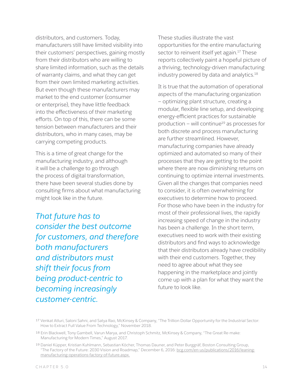distributors, and customers. Today, manufacturers still have limited visibility into their customers' perspectives, gaining mostly from their distributors who are willing to share limited information, such as the details of warranty claims, and what they can get from their own limited marketing activities. But even though these manufacturers may market to the end customer (consumer or enterprise), they have little feedback into the effectiveness of their marketing efforts. On top of this, there can be some tension between manufacturers and their distributors, who in many cases, may be carrying competing products.

This is a time of great change for the manufacturing industry, and although it will be a challenge to go through the process of digital transformation, there have been several studies done by consulting firms about what manufacturing might look like in the future.

*That future has to consider the best outcome for customers, and therefore both manufacturers and distributors must shift their focus from being product-centric to becoming increasingly customer-centric.*

These studies illustrate the vast opportunities for the entire manufacturing sector to reinvent itself yet again.<sup>17</sup> These reports collectively paint a hopeful picture of a thriving, technology-driven manufacturing industry powered by data and analytics.<sup>18</sup>

It is true that the automation of operational aspects of the manufacturing organization — optimizing plant structure, creating a modular, flexible line setup, and developing energy-efficient practices for sustainable production – will continue<sup>19</sup> as processes for both discrete and process manufacturing are further streamlined. However, manufacturing companies have already optimized and automated so many of their processes that they are getting to the point where there are now diminishing returns on continuing to optimize internal investments. Given all the changes that companies need to consider, it is often overwhelming for executives to determine how to proceed. For those who have been in the industry for most of their professional lives, the rapidly increasing speed of change in the industry has been a challenge. In the short term, executives need to work with their existing distributors and find ways to acknowledge that their distributors already have credibility with their end customers. Together, they need to agree about what they see happening in the marketplace and jointly come up with a plan for what they want the future to look like.

<sup>17</sup> Venkat Atluri, Saloni Sahni, and Satya Rao, McKinsey & Company, "The Trillion Dollar Opportunity for the Industrial Sector: How to Extract Full Value From Technology," November 2018.

<sup>18</sup> Erin Blackwell, Tony Gambell, Varun Marya, and Christoph Schmitz, McKinsey & Company, "The Great Re-make: Manufacturing for Modern Times," August 2017.

<sup>19</sup> Daniel Küpper, Kristian Kuhlmann, Sebastian Köcher, Thomas Dauner, and Peter Burggräf, Boston Consulting Group, "The Factory of the Future: 2030 Vision and Roadmap," December 6, 2016: [bcg.com/en-us/publications/2016/leaning](https://www.bcg.com/en-us/publications/2016/leaning-manufacturing-operations-factory-of-future.aspx)[manufacturing-operations-factory-of-future.aspx](https://www.bcg.com/en-us/publications/2016/leaning-manufacturing-operations-factory-of-future.aspx).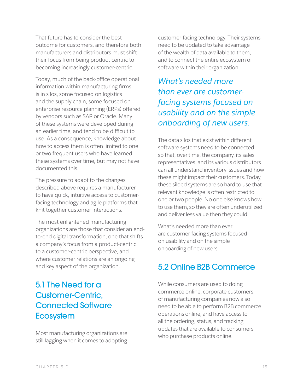That future has to consider the best outcome for customers, and therefore both manufacturers and distributors must shift their focus from being product-centric to becoming increasingly customer-centric.

Today, much of the back-office operational information within manufacturing firms is in silos, some focused on logistics and the supply chain, some focused on enterprise resource planning (ERPs) offered by vendors such as SAP or Oracle. Many of these systems were developed during an earlier time, and tend to be difficult to use. As a consequence, knowledge about how to access them is often limited to one or two frequent users who have learned these systems over time, but may not have documented this.

The pressure to adapt to the changes described above requires a manufacturer to have quick, intuitive access to customerfacing technology and agile platforms that knit together customer interactions.

The most enlightened manufacturing organizations are those that consider an endto-end digital transformation, one that shifts a company's focus from a product-centric to a customer-centric perspective, and where customer relations are an ongoing and key aspect of the organization.

#### 5.1 The Need for a Customer-Centric, Connected Software **Ecosystem**

Most manufacturing organizations are still lagging when it comes to adopting customer-facing technology. Their systems need to be updated to take advantage of the wealth of data available to them, and to connect the entire ecosystem of software within their organization.

*What's needed more than ever are customerfacing systems focused on usability and on the simple onboarding of new users.*

The data silos that exist within different software systems need to be connected so that, over time, the company, its sales representatives, and its various distributors can all understand inventory issues and how these might impact their customers. Today, these siloed systems are so hard to use that relevant knowledge is often restricted to one or two people. No one else knows how to use them, so they are often underutilized and deliver less value then they could.

What's needed more than ever are customer-facing systems focused on usability and on the simple onboarding of new users.

#### 5.2 Online B2B Commerce

While consumers are used to doing commerce online, corporate customers of manufacturing companies now also need to be able to perform B2B commerce operations online, and have access to all the ordering, status, and tracking updates that are available to consumers who purchase products online.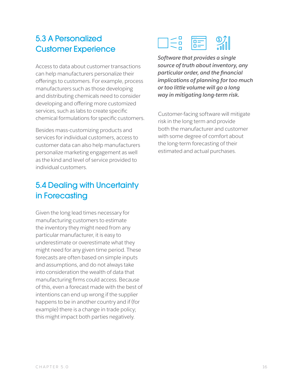#### 5.3 A Personalized Customer Experience

Access to data about customer transactions can help manufacturers personalize their offerings to customers. For example, process manufacturers such as those developing and distributing chemicals need to consider developing and offering more customized services, such as labs to create specific chemical formulations for specific customers.

Besides mass-customizing products and services for individual customers, access to customer data can also help manufacturers personalize marketing engagement as well as the kind and level of service provided to individual customers.

### 5.4 Dealing with Uncertainty in Forecasting

Given the long lead times necessary for manufacturing customers to estimate the inventory they might need from any particular manufacturer, it is easy to underestimate or overestimate what they might need for any given time period. These forecasts are often based on simple inputs and assumptions, and do not always take into consideration the wealth of data that manufacturing firms could access. Because of this, even a forecast made with the best of intentions can end up wrong if the supplier happens to be in another country and if (for example) there is a change in trade policy; this might impact both parties negatively.



*Software that provides a single source of truth about inventory, any particular order, and the financial implications of planning for too much or too little volume will go a long way in mitigating long-term risk.*

Customer-facing software will mitigate risk in the long term and provide both the manufacturer and customer with some degree of comfort about the long-term forecasting of their estimated and actual purchases.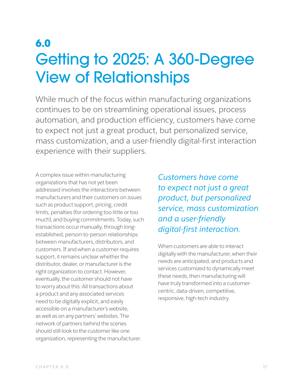### **6.0** Getting to 2025: A 360-Degree View of Relationships

While much of the focus within manufacturing organizations continues to be on streamlining operational issues, process automation, and production efficiency, customers have come to expect not just a great product, but personalized service, mass customization, and a user-friendly digital-first interaction experience with their suppliers.

A complex issue within manufacturing organizations that has not yet been addressed involves the interactions between manufacturers and their customers on issues such as product support, pricing, credit limits, penalties (for ordering too little or too much), and buying commitments. Today, such transactions occur manually, through longestablished, person-to-person relationships between manufacturers, distributors, and customers. If and when a customer requires support, it remains unclear whether the distributor, dealer, or manufacturer is the right organization to contact. However, eventually, the customer should not have to worry about this: All transactions about a product and any associated services need to be digitally explicit, and easily accessible on a manufacturer's website, as well as on any partners' websites. The network of partners behind the scenes should still look to the customer like one organization, representing the manufacturer.

*Customers have come to expect not just a great product, but personalized service, mass customization and a user-friendly digital-first interaction.*

When customers are able to interact digitally with the manufacturer, when their needs are anticipated, and products and services customized to dynamically meet these needs, then manufacturing will have truly transformed into a customercentric, data-driven, competitive, responsive, high-tech industry.